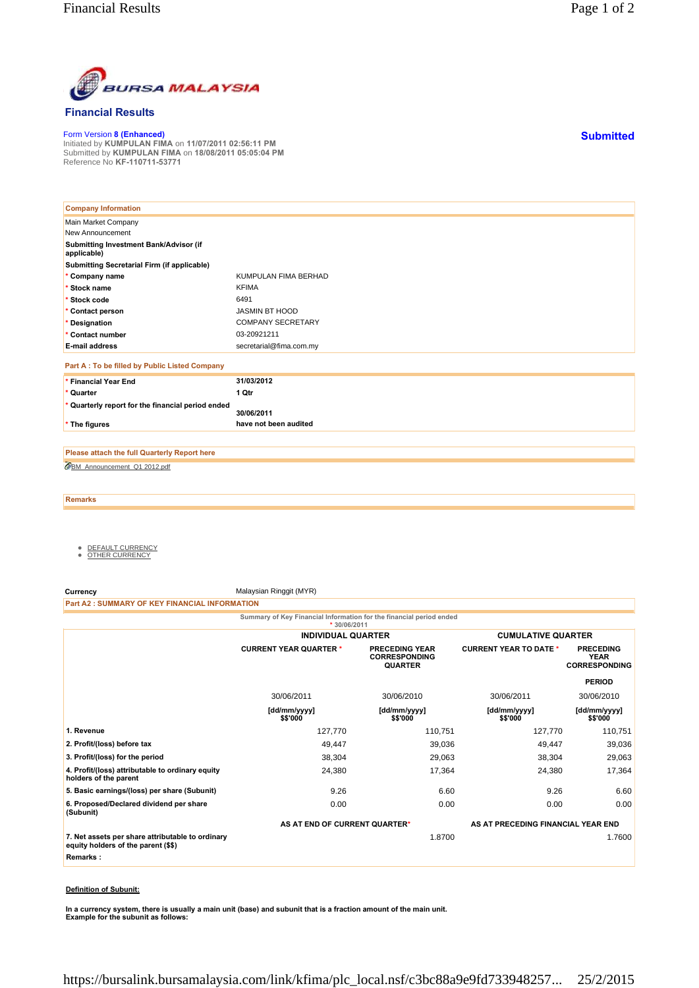

## **Financial Results**

Form Version **8 (Enhanced)** Initiated by **KUMPULAN FIMA** on **11/07/2011 02:56:11 PM** Submitted by **KUMPULAN FIMA** on **18/08/2011 05:05:04 PM** Reference No **KF-110711-53771**

| <b>Company Information</b>                            |                          |
|-------------------------------------------------------|--------------------------|
| Main Market Company                                   |                          |
| New Announcement                                      |                          |
| Submitting Investment Bank/Advisor (if<br>applicable) |                          |
| Submitting Secretarial Firm (if applicable)           |                          |
| * Company name                                        | KUMPULAN FIMA BERHAD     |
| * Stock name                                          | <b>KFIMA</b>             |
| * Stock code                                          | 6491                     |
| * Contact person                                      | <b>JASMIN BT HOOD</b>    |
| * Designation                                         | <b>COMPANY SECRETARY</b> |
| * Contact number                                      | 03-20921211              |
| <b>E-mail address</b>                                 | secretarial@fima.com.my  |
| Part A : To be filled by Public Listed Company        |                          |
| * Financial Year End                                  | 31/03/2012               |
| * Quarter                                             | 1 Qtr                    |
| * Quarterly report for the financial period ended     | 30/06/2011               |
| * The figures                                         | have not been audited    |

BM\_Announcement\_Q1 2012.pdf **Please attach the full Quarterly Report here**

**Remarks**

- <u>DEFAULT CURRENCY</u><br>● <u>OTHER CURRENCY</u>
- 

**Currency** Malaysian Ringgit (MYR)

**Part A2 : SUMMARY OF KEY FINANCIAL INFORMATION**

**Summary of Key Financial Information for the financial period ended**

|                                                                                         | $*30/06/2011$                 |                                                                 |                                    |                                                         |
|-----------------------------------------------------------------------------------------|-------------------------------|-----------------------------------------------------------------|------------------------------------|---------------------------------------------------------|
|                                                                                         | <b>INDIVIDUAL QUARTER</b>     |                                                                 | <b>CUMULATIVE QUARTER</b>          |                                                         |
|                                                                                         | <b>CURRENT YEAR QUARTER *</b> | <b>PRECEDING YEAR</b><br><b>CORRESPONDING</b><br><b>QUARTER</b> | <b>CURRENT YEAR TO DATE *</b>      | <b>PRECEDING</b><br><b>YEAR</b><br><b>CORRESPONDING</b> |
|                                                                                         |                               |                                                                 |                                    | <b>PERIOD</b>                                           |
|                                                                                         | 30/06/2011                    | 30/06/2010                                                      | 30/06/2011                         | 30/06/2010                                              |
|                                                                                         | [dd/mm/yyyy]<br>\$\$'000      | [dd/mm/yyyy]<br>\$\$'000                                        | [dd/mm/yyyy]<br>\$\$'000           | [dd/mm/yyyy]<br>\$\$'000                                |
| 1. Revenue                                                                              | 127,770                       | 110,751                                                         | 127,770                            | 110,751                                                 |
| 2. Profit/(loss) before tax                                                             | 49,447                        | 39,036                                                          | 49,447                             | 39,036                                                  |
| 3. Profit/(loss) for the period                                                         | 38,304                        | 29,063                                                          | 38,304                             | 29,063                                                  |
| 4. Profit/(loss) attributable to ordinary equity<br>holders of the parent               | 24,380                        | 17,364                                                          | 24,380                             | 17,364                                                  |
| 5. Basic earnings/(loss) per share (Subunit)                                            | 9.26                          | 6.60                                                            | 9.26                               | 6.60                                                    |
| 6. Proposed/Declared dividend per share<br>(Subunit)                                    | 0.00                          | 0.00                                                            | 0.00                               | 0.00                                                    |
|                                                                                         | AS AT END OF CURRENT QUARTER* |                                                                 | AS AT PRECEDING FINANCIAL YEAR END |                                                         |
| 7. Net assets per share attributable to ordinary<br>equity holders of the parent (\$\$) |                               | 1.8700                                                          |                                    | 1.7600                                                  |
| Remarks:                                                                                |                               |                                                                 |                                    |                                                         |

## **Definition of Subunit:**

**In a currency system, there is usually a main unit (base) and subunit that is a fraction amount of the main unit. Example for the subunit as follows:**

**Submitted**